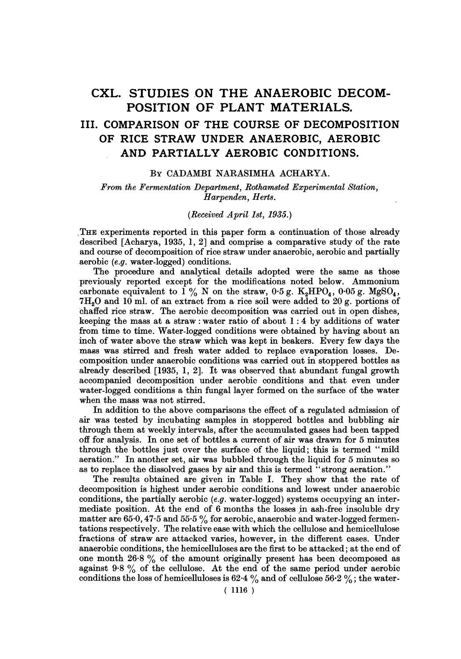# CXL. STUDIES ON THE ANAEROBIC DECOM-POSITION OF PLANT MATERIALS. III. COMPARISON OF THE COURSE OF DECOMPOSITION OF RICE STRAW UNDER ANAEROBIC, AEROBIC AND PARTIALLY AEROBIC CONDITIONS.

### BY CADAMBI NARASIMHA ACHARYA.

From the Fermentation Department, Rothamsted Experimental Station, Harpenden, Herts.

# (Received April 18t, 1935.)

THE experiments reported in this paper form a continuation of those already described [Acharya, 1935, 1, 2] and comprise a comparative study of the rate and course of decomposition of rice straw under anaerobic, aerobic and partially aerobic (e.g. water-logged) conditions.

The procedure and analytical details adopted were the same as those previously reported except for the modifications noted below. Ammonium carbonate equivalent to  $1\%$  N on the straw, 0.5 g. K<sub>2</sub>HPO<sub>4</sub>, 0.05 g. MgSO<sub>4</sub>,  $7H<sub>2</sub>O$  and  $10$  ml. of an extract from a rice soil were added to  $20 g$ , portions of chaffed rice straw. The aerobic decomposition was carried out in open dishes, keeping the mass at a straw: water ratio of about 1: 4 by additions of water from time to time. Water-logged conditions were obtained by having about an inch of water above the straw which was kept in beakers. Every few days the mass was stirred and fresh water added to replace evaporation losses. Decomposition under anaerobic conditions was carried out in stoppered bottles as already described [1935, 1, 2]. It was observed that abundant fungal growth accompanied decomposition under aerobic conditions and that even under water-logged conditions a thin fungal layer formed on the surface of the water when the mass was not stirred.

In addition to the above comparisons the effect of a regulated admission of air was tested by incubating samples in stoppered bottles and bubbling air through them at weekly intervals, after the accumulated gases had been tapped off for analysis. In one set of bottles a current of air was drawn for 5 minutes through the bottles just over the surface of the liquid; this is termed "mild aeration." In another set, air was bubbled through the liquid for 5 minutes so as to replace the dissolved gases by air and this is termed "strong aeration."

The results obtained are given in Table I. They show that the rate of decomposition is highest under aerobic conditions and lowest under anaerobic conditions, the partially aerobic (e.g. water-logged) systems occupying an intermediate position. At the end of 6 months the losses in ash-free insoluble dry matter are  $65.0$ ,  $47.5$  and  $55.5\%$  for aerobic, anaerobic and water-logged fermentations respectively. The relative ease with which the cellulose and hemicellulose fractions of straw are attacked varies, however, in the different cases. Under anaerobic conditions, the hemicelluloses are the first to be attacked; at the end of one month 26-8 % of the amount originally present has been decomposed as against  $9.8\%$  of the cellulose. At the end of the same period under aerobic conditions the loss of hemicelluloses is 62.4  $\%$  and of cellulose 56.2  $\%$ ; the water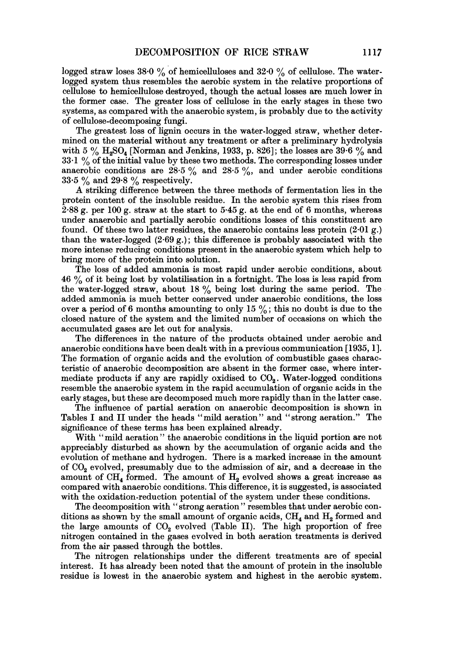logged straw loses 38.0 % of hemicelluloses and 32.0 % of cellulose. The waterlogged system thus resembles the aerobic system in the relative proportions of cellulose to hemicellulose destroyed, though the actual losses are much lower in the former case. The greater loss of cellulose in the early stages in these two systems, as compared with the anaerobic system, is probably due to the activity of cellulose-decomposing fungi.

The greatest loss of lignin occurs in the water-logged straw, whether determined on the material without any treatment or after a preliminary hydrolysis with 5  $\%$  H<sub>2</sub>SO<sub>4</sub> [Norman and Jenkins, 1933, p. 826]; the losses are 39.6  $\%$  and 33.1 % of the initial value by these two methods. The corresponding losses under anaerobic conditions are  $28.5\%$  and  $28.5\%$ , and under aerobic conditions 33.5  $\%$  and 29.8  $\%$  respectively.

A striking difference between the three methods of fermentation lies in the protein content of the insoluble residue. In the aerobic system this rises from  $2.88$  g. per 100 g. straw at the start to  $5.45$  g. at the end of 6 months, whereas under anaerobic and partially aerobic conditions losses of this constituent are found. Of these two latter residues, the anaerobic contains less protein  $(2.01 g.)$ than the water-logged  $(2.69 \text{ g.})$ ; this difference is probably associated with the more intense reducing conditions present in the anaerobic system which help to bring more of the protein into solution.

The loss of added ammonia is most rapid under aerobic conditions, about  $46\%$  of it being lost by volatilisation in a fortnight. The loss is less rapid from the water-logged straw, about <sup>18</sup> % being lost during the same period. The added ammonia is much better conserved under anaerobic conditions, the loss over a period of 6 months amounting to only 15  $\%$ ; this no doubt is due to the closed nature of the system and the limited number of occasions on which the accumulated gases are let out for analysis.

The differences in the nature of the products obtained under aerobic and anaerobic conditions have been dealt with in a previous communication [1935, 1]. The formation of organic acids and the evolution of combustible gases characteristic of anaerobic decomposition are absent in the former case, where intermediate products if any are rapidly oxidised to  $CO<sub>2</sub>$ . Water-logged conditions resemble the anaerobic system in the rapid accumulation of organic acids in the early stages, but these are decomposed much more rapidly than in the latter case.

The influence of partial aeration on anaerobic decomposition is shown in Tables <sup>I</sup> and II under the heads "mild aeration " and "strong aeration." The significance of these terms has been explained already.

With "mild aeration" the anaerobic conditions in the liquid portion are not appreciably disturbed as shown by the accumulation of organic acids and the evolution of methane and hydrogen. There is a marked increase in the amount of C02 evolved, presumably due to the admission of air, and a decrease in the amount of  $CH_4$  formed. The amount of  $H_2$  evolved shows a great increase as compared with anaerobic conditions. This difference, it is suggested, is associated with the oxidation-reduction potential of the system under these conditions.

The decomposition with "strong aeration" resembles that under aerobic conditions as shown by the small amount of organic acids,  $\text{CH}_4$  and  $\text{H}_2$  formed and the large amounts of  $CO<sub>2</sub>$  evolved (Table II). The high proportion of free nitrogen contained in the gases evolved in both aeration treatments is derived from the air passed through the bottles.

The nitrogen relationships under the different treatments are of special interest. It has already been noted that the amount of protein in the insoluble residue is lowest in the anaerobic system and highest in the aerobic system.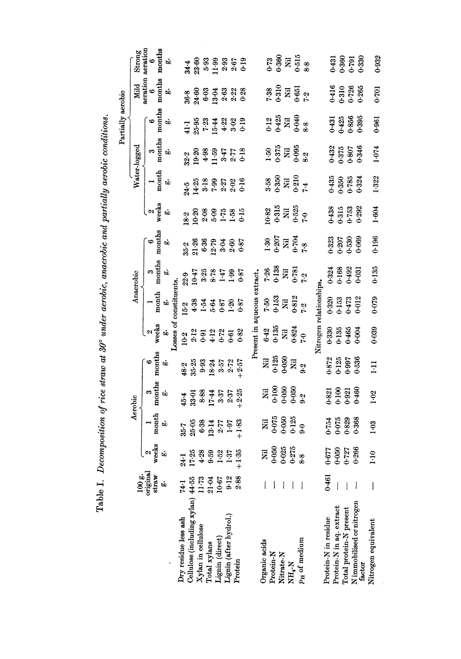Table I. Decomposition of rice straw at 30° under aerobic, anaerobic and partially aerobic conditions.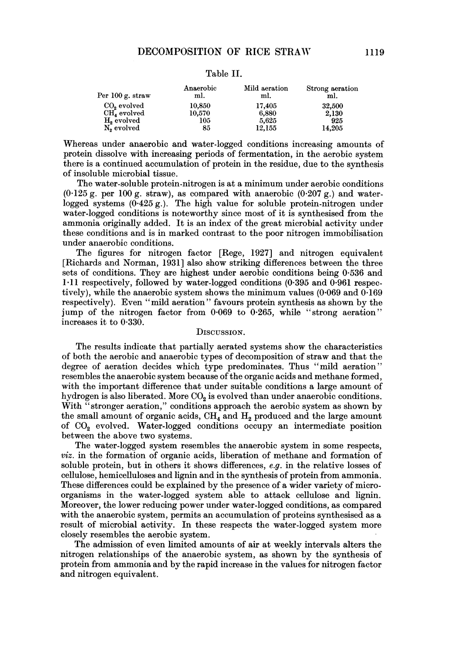| Per 100 g. straw        | Anaerobic<br>ml. | Mild aeration<br>ml. | Strong aeration<br>ml. |
|-------------------------|------------------|----------------------|------------------------|
| CO <sub>o</sub> evolved | 10.850           | 17.405               | 32,500                 |
| $CH4$ evolved           | 10.570           | 6.880                | 2,130                  |
| H <sub>2</sub> evolved  | 105              | 5.625                | 925                    |
| N <sub>2</sub> evolved  | 85               | 12,155               | 14.205                 |

#### Table II.

Whereas under anaerobic and water-logged conditions increasing amounts of protein dissolve with increasing periods of fermentation, in the aerobic system there is a continued accumulation of protein in the residue, due to the synthesis of insoluble microbial tissue.

The water-soluble protein-nitrogen is at a minimum under aerobic conditions  $(0.125 \text{ g})$  per 100 g. straw), as compared with anaerobic  $(0.207 \text{ g})$  and waterlogged systems  $(0.425 g)$ . The high value for soluble protein-nitrogen under water-logged conditions is noteworthy since most of it is synthesised from the ammonia originally added. It is an index of the great microbial activity under these conditions and is in marked contrast to the poor nitrogen immobilisation under anaerobic conditions.

The figures for nitrogen factor [Rege, 1927] and nitrogen equivalent [Richards and Norman, 1931] also show striking differences between the three sets of conditions. They are highest under aerobic conditions being 0-536 and  $1\cdot 11$  respectively, followed by water-logged conditions (0.395 and 0.961 respectively), while the anaerobic system shows the minimum values (0.069 and 0-169 respectively). Even "mild aeration" favours protein synthesis as shown by the jump of the nitrogen factor from 0-069 to 0-265, while "strong aeration" increases it to 0.330.

## DISCUSSION.

The results indicate that partially aerated systems show the characteristics of both the aerobic and anaerobic types of decomposition of straw and that the degree of aeration decides which type predominates. Thus "mild aeration" resembles the anaerobic system because of the organic acids and methane formed, with the important difference that under suitable conditions a large amount of hydrogen is also liberated. More CO<sub>2</sub> is evolved than under anaerobic conditions. With "stronger aeration," conditions approach the aerobic system as shown by the small amount of organic acids,  $CH_4$  and  $H_2$  produced and the large amount of CO2 evolved. Water-logged conditions occupy an intermediate position between the above two systems.

The water-logged system resembles the anaerobic system in some respects, viz. in the formation of organic acids, liberation of methane and formation of soluble protein, but in others it shows differences, e.g. in the relative losses of cellulose, hemicelluloses and lignin and in the synthesis of protein from ammonia. These differences could be explained by the presence of a wider variety of microorganisms in the water-logged system able to attack cellulose and lignin. Moreover, the lower reducing power under water-logged conditions, as compared with the anaerobic system, permits an accumulation of proteins synthesised as a result of microbial activity. In these respects the water-logged system more closely resembles the aerobic system.

The admission of even limited amounts of air at weekly intervals alters the nitrogen relationships of the anaerobic system, as shown by the synthesis of protein from ammonia and by the rapid increase in the values for nitrogen factor and nitrogen equivalent.